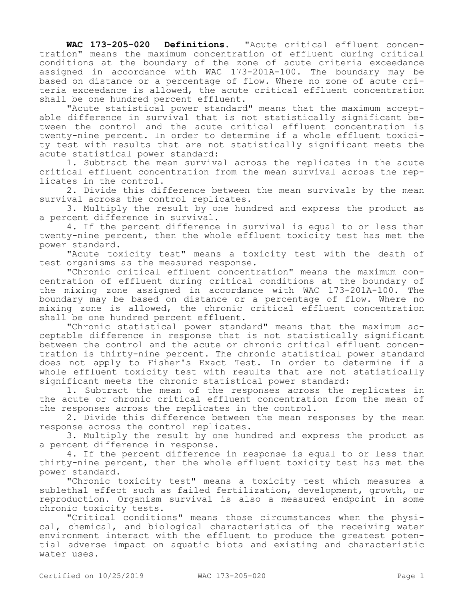**WAC 173-205-020 Definitions.** "Acute critical effluent concentration" means the maximum concentration of effluent during critical conditions at the boundary of the zone of acute criteria exceedance assigned in accordance with WAC 173-201A-100. The boundary may be based on distance or a percentage of flow. Where no zone of acute criteria exceedance is allowed, the acute critical effluent concentration shall be one hundred percent effluent.

"Acute statistical power standard" means that the maximum acceptable difference in survival that is not statistically significant between the control and the acute critical effluent concentration is twenty-nine percent. In order to determine if a whole effluent toxicity test with results that are not statistically significant meets the acute statistical power standard:

1. Subtract the mean survival across the replicates in the acute critical effluent concentration from the mean survival across the replicates in the control.

2. Divide this difference between the mean survivals by the mean survival across the control replicates.

3. Multiply the result by one hundred and express the product as a percent difference in survival.

4. If the percent difference in survival is equal to or less than twenty-nine percent, then the whole effluent toxicity test has met the power standard.

"Acute toxicity test" means a toxicity test with the death of test organisms as the measured response.

"Chronic critical effluent concentration" means the maximum concentration of effluent during critical conditions at the boundary of the mixing zone assigned in accordance with WAC 173-201A-100. The boundary may be based on distance or a percentage of flow. Where no mixing zone is allowed, the chronic critical effluent concentration shall be one hundred percent effluent.

"Chronic statistical power standard" means that the maximum acceptable difference in response that is not statistically significant between the control and the acute or chronic critical effluent concentration is thirty-nine percent. The chronic statistical power standard does not apply to Fisher's Exact Test. In order to determine if a whole effluent toxicity test with results that are not statistically significant meets the chronic statistical power standard:

1. Subtract the mean of the responses across the replicates in the acute or chronic critical effluent concentration from the mean of the responses across the replicates in the control.

2. Divide this difference between the mean responses by the mean response across the control replicates.

3. Multiply the result by one hundred and express the product as a percent difference in response.

4. If the percent difference in response is equal to or less than thirty-nine percent, then the whole effluent toxicity test has met the power standard.

"Chronic toxicity test" means a toxicity test which measures a sublethal effect such as failed fertilization, development, growth, or reproduction. Organism survival is also a measured endpoint in some chronic toxicity tests.

"Critical conditions" means those circumstances when the physical, chemical, and biological characteristics of the receiving water environment interact with the effluent to produce the greatest potential adverse impact on aquatic biota and existing and characteristic water uses.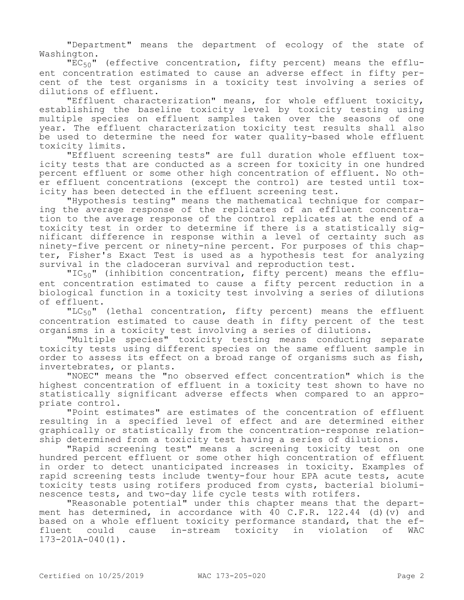"Department" means the department of ecology of the state of Washington.

 $"EC_{50}"$  (effective concentration, fifty percent) means the effluent concentration estimated to cause an adverse effect in fifty percent of the test organisms in a toxicity test involving a series of dilutions of effluent.

"Effluent characterization" means, for whole effluent toxicity, establishing the baseline toxicity level by toxicity testing using multiple species on effluent samples taken over the seasons of one year. The effluent characterization toxicity test results shall also be used to determine the need for water quality-based whole effluent toxicity limits.

"Effluent screening tests" are full duration whole effluent toxicity tests that are conducted as a screen for toxicity in one hundred percent effluent or some other high concentration of effluent. No other effluent concentrations (except the control) are tested until toxicity has been detected in the effluent screening test.

"Hypothesis testing" means the mathematical technique for comparing the average response of the replicates of an effluent concentration to the average response of the control replicates at the end of a toxicity test in order to determine if there is a statistically significant difference in response within a level of certainty such as ninety-five percent or ninety-nine percent. For purposes of this chapter, Fisher's Exact Test is used as a hypothesis test for analyzing survival in the cladoceran survival and reproduction test.

"IC<sub>50</sub>" (inhibition concentration, fifty percent) means the effluent concentration estimated to cause a fifty percent reduction in a biological function in a toxicity test involving a series of dilutions of effluent.

"LC $_{50}$ " (lethal concentration, fifty percent) means the effluent concentration estimated to cause death in fifty percent of the test organisms in a toxicity test involving a series of dilutions.

"Multiple species" toxicity testing means conducting separate toxicity tests using different species on the same effluent sample in order to assess its effect on a broad range of organisms such as fish, invertebrates, or plants.

"NOEC" means the "no observed effect concentration" which is the highest concentration of effluent in a toxicity test shown to have no statistically significant adverse effects when compared to an appropriate control.

"Point estimates" are estimates of the concentration of effluent resulting in a specified level of effect and are determined either graphically or statistically from the concentration-response relationship determined from a toxicity test having a series of dilutions.

"Rapid screening test" means a screening toxicity test on one hundred percent effluent or some other high concentration of effluent in order to detect unanticipated increases in toxicity. Examples of rapid screening tests include twenty-four hour EPA acute tests, acute toxicity tests using rotifers produced from cysts, bacterial bioluminescence tests, and two-day life cycle tests with rotifers.

"Reasonable potential" under this chapter means that the department has determined, in accordance with 40 C.F.R. 122.44 (d)(v) and based on a whole effluent toxicity performance standard, that the effluent could cause in-stream toxicity in violation of WAC 173-201A-040(1).